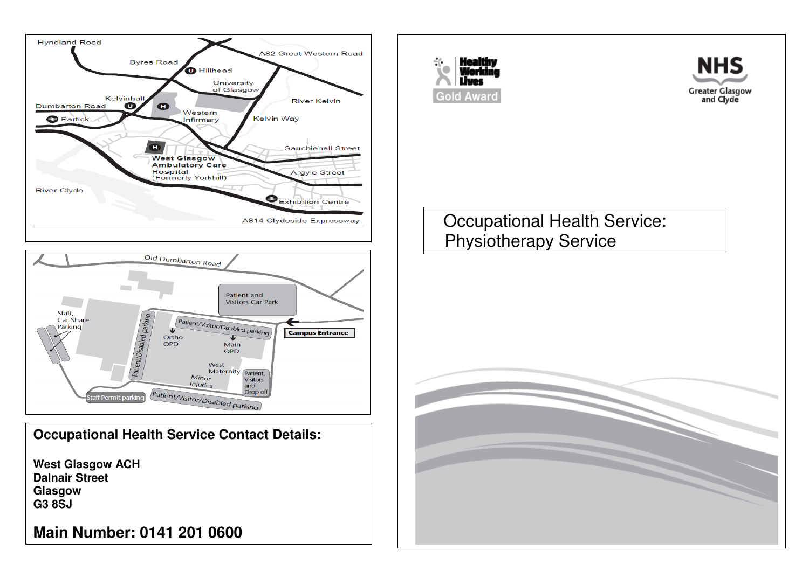





**West Glasgow ACH Dalnair Street Glasgow G3 8SJ** 

**Main Number: 0141 201 0600**





Occupational Health Service: Physiotherapy Service